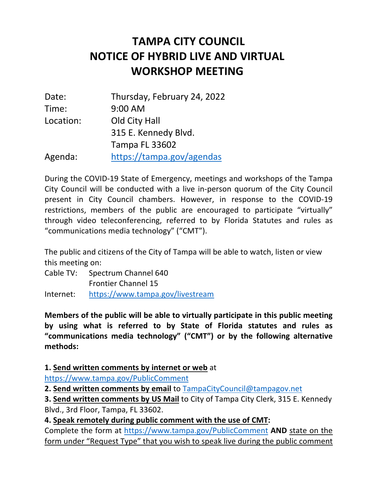## **NOTICE OF HYBRID LIVE AND VIRTUAL WORKSHOP MEETING TAMPA CITY COUNCIL**

| Date:     | Thursday, February 24, 2022 |
|-----------|-----------------------------|
| Time:     | $9:00$ AM                   |
| Location: | Old City Hall               |
|           | 315 E. Kennedy Blvd.        |
|           | <b>Tampa FL 33602</b>       |
| Agenda:   | https://tampa.gov/agendas   |

 During the COVID-19 State of Emergency, meetings and workshops of the Tampa City Council will be conducted with a live in-person quorum of the City Council present in City Council chambers. However, in response to the COVID-19 restrictions, members of the public are encouraged to participate "virtually" through video teleconferencing, referred to by Florida Statutes and rules as "communications media technology" ("CMT").

 The public and citizens of the City of Tampa will be able to watch, listen or view this meeting on:

 Cable TV: Spectrum Channel 640 Frontier Channel 15 Internet: https://www.tampa.gov/livestream

 **Members of the public will be able to virtually participate in this public meeting by using what is referred to by State of Florida statutes and rules as "communications media technology" ("CMT") or by the following alternative methods:** 

**1. Send written comments by internet or web** at

https://www.tampa.gov/PublicComment

 **2. Send written comments by email** to TampaCityCouncil@tampagov.net

 **3. Send written comments by US Mail** to City of Tampa City Clerk, 315 E. Kennedy Blvd., 3rd Floor, Tampa, FL 33602.

 **4. Speak remotely during public comment with the use of CMT:** 

 Complete the form at https://www.tampa.gov/PublicComment **AND** state on the form under "Request Type" that you wish to speak live during the public comment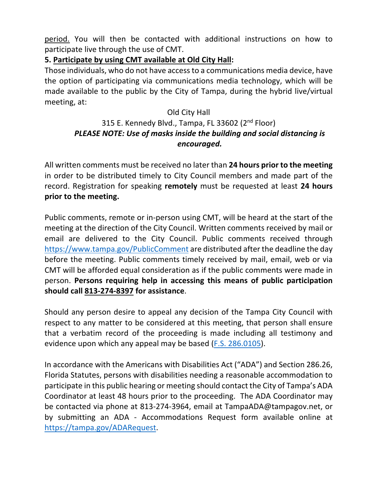participate live through the use of CMT. period. You will then be contacted with additional instructions on how to

## **5. Participate by using CMT available at Old City Hall:**

 Those individuals, who do not have access to a communications media device, have the option of participating via communications media technology, which will be made available to the public by the City of Tampa, during the hybrid live/virtual meeting, at:

## Old City Hall

## 315 E. Kennedy Blvd., Tampa, FL 33602 (2<sup>nd</sup> Floor)  *PLEASE NOTE: Use of masks inside the building and social distancing is encouraged.*

 All written comments must be received no later than **24 hours prior to the meeting**  in order to be distributed timely to City Council members and made part of the record. Registration for speaking **remotely** must be requested at least **24 hours prior to the meeting.** 

 Public comments, remote or in-person using CMT, will be heard at the start of the meeting at the direction of the City Council. Written comments received by mail or email are delivered to the City Council. Public comments received through https://www.tampa.gov/PublicComment are distributed after the deadline the day before the meeting. Public comments timely received by mail, email, web or via CMT will be afforded equal consideration as if the public comments were made in  person. **Persons requiring help in accessing this means of public participation should call 813-274-8397 for assistance**.

 Should any person desire to appeal any decision of the Tampa City Council with respect to any matter to be considered at this meeting, that person shall ensure that a verbatim record of the proceeding is made including all testimony and evidence upon which any appeal may be based (F.S. 286.0105).

 In accordance with the Americans with Disabilities Act ("ADA") and Section 286.26, Florida Statutes, persons with disabilities needing a reasonable accommodation to participate in this public hearing or meeting should contact the City of Tampa's ADA Coordinator at least 48 hours prior to the proceeding. The ADA Coordinator may be contacted via phone at 813-274-3964, email at TampaADA@tampagov.net, or by submitting an ADA - Accommodations Request form available online at https://tampa.gov/ADARequest.